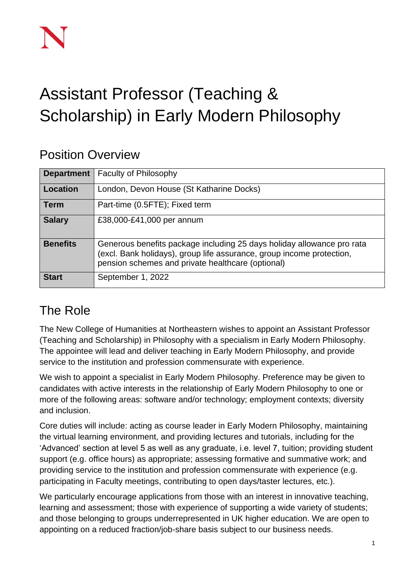# Assistant Professor (Teaching & Scholarship) in Early Modern Philosophy

#### Position Overview

| <b>Department</b> | <b>Faculty of Philosophy</b>                                                                                                                                                                         |
|-------------------|------------------------------------------------------------------------------------------------------------------------------------------------------------------------------------------------------|
| Location          | London, Devon House (St Katharine Docks)                                                                                                                                                             |
| <b>Term</b>       | Part-time (0.5FTE); Fixed term                                                                                                                                                                       |
| <b>Salary</b>     | £38,000-£41,000 per annum                                                                                                                                                                            |
| <b>Benefits</b>   | Generous benefits package including 25 days holiday allowance pro rata<br>(excl. Bank holidays), group life assurance, group income protection,<br>pension schemes and private healthcare (optional) |
| <b>Start</b>      | September 1, 2022                                                                                                                                                                                    |

# The Role

The New College of Humanities at Northeastern wishes to appoint an Assistant Professor (Teaching and Scholarship) in Philosophy with a specialism in Early Modern Philosophy. The appointee will lead and deliver teaching in Early Modern Philosophy, and provide service to the institution and profession commensurate with experience.

We wish to appoint a specialist in Early Modern Philosophy. Preference may be given to candidates with active interests in the relationship of Early Modern Philosophy to one or more of the following areas: software and/or technology; employment contexts; diversity and inclusion.

Core duties will include: acting as course leader in Early Modern Philosophy, maintaining the virtual learning environment, and providing lectures and tutorials, including for the 'Advanced' section at level 5 as well as any graduate, i.e. level 7, tuition; providing student support (e.g. office hours) as appropriate; assessing formative and summative work; and providing service to the institution and profession commensurate with experience (e.g. participating in Faculty meetings, contributing to open days/taster lectures, etc.).

We particularly encourage applications from those with an interest in innovative teaching, learning and assessment; those with experience of supporting a wide variety of students; and those belonging to groups underrepresented in UK higher education. We are open to appointing on a reduced fraction/job-share basis subject to our business needs.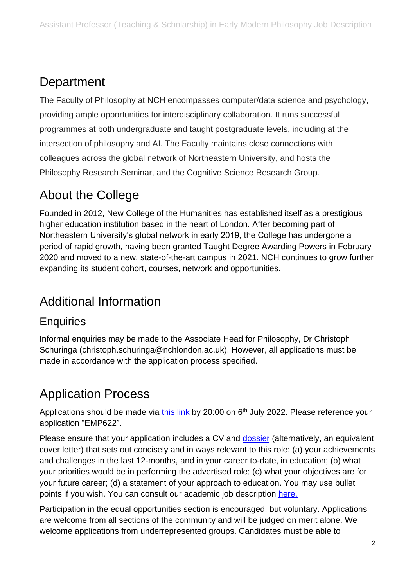# **Department**

The Faculty of Philosophy at NCH encompasses computer/data science and psychology, providing ample opportunities for interdisciplinary collaboration. It runs successful programmes at both undergraduate and taught postgraduate levels, including at the intersection of philosophy and AI. The Faculty maintains close connections with colleagues across the global network of Northeastern University, and hosts the Philosophy Research Seminar, and the Cognitive Science Research Group.

#### About the College

Founded in 2012, New College of the Humanities has established itself as a prestigious higher education institution based in the heart of London. After becoming part of Northeastern University's global network in early 2019, the College has undergone a period of rapid growth, having been granted Taught Degree Awarding Powers in February 2020 and moved to a new, state-of-the-art campus in 2021. NCH continues to grow further expanding its student cohort, courses, network and opportunities.

# Additional Information

#### **Enquiries**

Informal enquiries may be made to the Associate Head for Philosophy, Dr Christoph Schuringa (christoph.schuringa@nchlondon.ac.uk). However, all applications must be made in accordance with the application process specified.

# Application Process

Applications should be made via [this link](https://share.hsforms.com/1p3G6XPo_QD-X7V9aRnSTYQ2peji) by 20:00 on 6<sup>th</sup> July 2022. Please reference your application "EMP622".

Please ensure that your application includes a CV and [dossier](https://www.nchlondon.ac.uk/wp-content/uploads/2021/11/Academic-Dossier-TS-FINAL.doc) (alternatively, an equivalent cover letter) that sets out concisely and in ways relevant to this role: (a) your achievements and challenges in the last 12-months, and in your career to-date, in education; (b) what your priorities would be in performing the advertised role; (c) what your objectives are for your future career; (d) a statement of your approach to education. You may use bullet points if you wish. You can consult our academic job description [here.](https://drive.google.com/file/d/1I7F9QYlufh2BJ2XJmqaqAl4whnWpvObW/view?usp=sharing)

Participation in the equal opportunities section is encouraged, but voluntary. Applications are welcome from all sections of the community and will be judged on merit alone. We welcome applications from underrepresented groups. Candidates must be able to